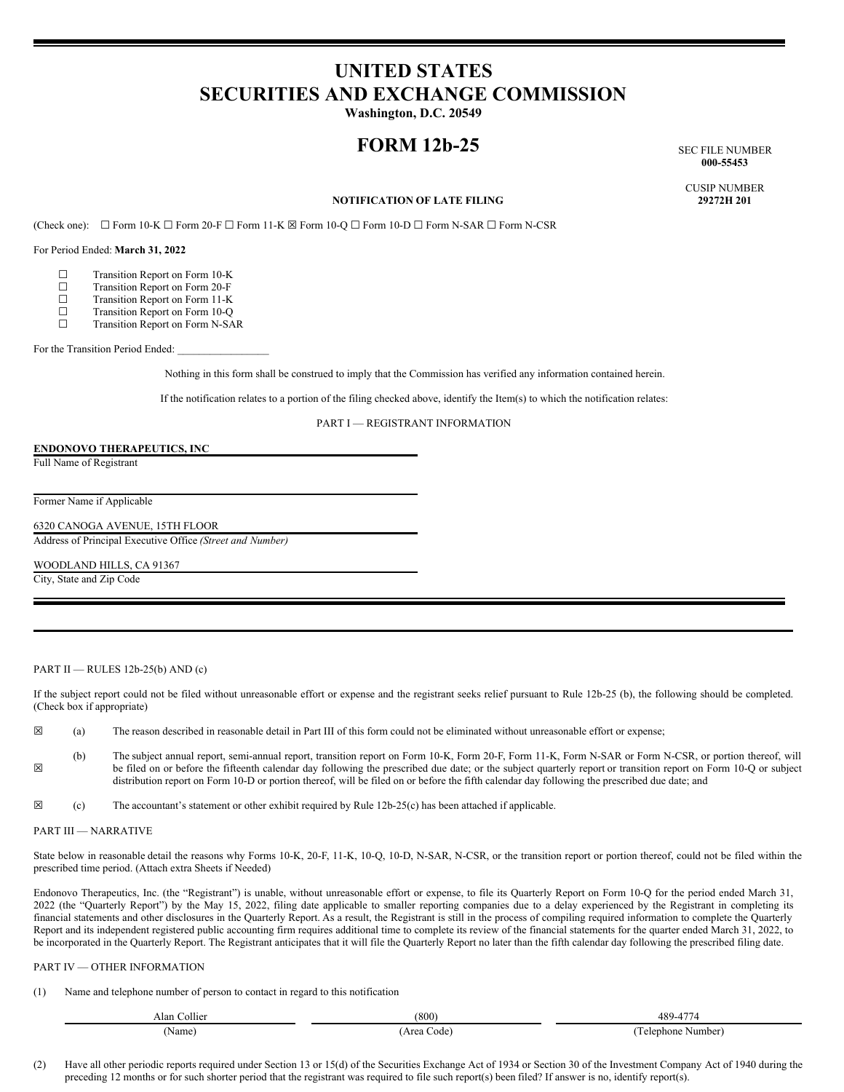# **UNITED STATES SECURITIES AND EXCHANGE COMMISSION**

**Washington, D.C. 20549**

## **FORM 12b-25** SEC FILE NUMBER

**000-55453**

CUSIP NUMBER

### **NOTIFICATION OF LATE FILING**

(Check one): ☐ Form 10-K ☐ Form 20-F ☐ Form 11-K ☒ Form 10-Q ☐ Form 10-D ☐ Form N-SAR ☐ Form N-CSR

For Period Ended: **March 31, 2022**

- 
- $\Box$  Transition Report on Form 10-K<br> $\Box$  Transition Report on Form 20-F  $\Box$  Transition Report on Form 20-F<br> $\Box$  Transition Report on Form 11-K
- ☐ Transition Report on Form 11-K
- □ Transition Report on Form 10-Q<br>□ Transition Report on Form N-SA
- ☐ Transition Report on Form N-SAR

For the Transition Period Ended:

Nothing in this form shall be construed to imply that the Commission has verified any information contained herein.

If the notification relates to a portion of the filing checked above, identify the Item(s) to which the notification relates:

PART I — REGISTRANT INFORMATION

#### **ENDONOVO THERAPEUTICS, INC**

Full Name of Registrant

Former Name if Applicable

6320 CANOGA AVENUE, 15TH FLOOR

Address of Principal Executive Office *(Street and Number)*

WOODLAND HILLS, CA 91367

City, State and Zip Code

#### PART II — RULES  $12b-25(b)$  AND  $(c)$

If the subject report could not be filed without unreasonable effort or expense and the registrant seeks relief pursuant to Rule 12b-25 (b), the following should be completed. (Check box if appropriate)

 $\boxtimes$  (a) The reason described in reasonable detail in Part III of this form could not be eliminated without unreasonable effort or expense;

☒ (b) The subject annual report, semi-annual report, transition report on Form 10-K, Form 20-F, Form 11-K, Form N-SAR or Form N-CSR, or portion thereof, will be filed on or before the fifteenth calendar day following the prescribed due date; or the subject quarterly report or transition report on Form 10-Q or subject distribution report on Form 10-D or portion thereof, will be filed on or before the fifth calendar day following the prescribed due date; and

 $\boxtimes$  (c) The accountant's statement or other exhibit required by Rule 12b-25(c) has been attached if applicable.

#### PART III — NARRATIVE

State below in reasonable detail the reasons why Forms 10-K, 20-F, 11-K, 10-Q, 10-D, N-SAR, N-CSR, or the transition report or portion thereof, could not be filed within the prescribed time period. (Attach extra Sheets if Needed)

Endonovo Therapeutics, Inc. (the "Registrant") is unable, without unreasonable effort or expense, to file its Quarterly Report on Form 10-Q for the period ended March 31, 2022 (the "Quarterly Report") by the May 15, 2022, filing date applicable to smaller reporting companies due to a delay experienced by the Registrant in completing its financial statements and other disclosures in the Quarterly Report. As a result, the Registrant is still in the process of compiling required information to complete the Quarterly Report and its independent registered public accounting firm requires additional time to complete its review of the financial statements for the quarter ended March 31, 2022, to be incorporated in the Quarterly Report. The Registrant anticipates that it will file the Quarterly Report no later than the fifth calendar day following the prescribed filing date.

#### PART IV — OTHER INFORMATION

(1) Name and telephone number of person to contact in regard to this notification

| Alan<br>Collier | (800)              | 489-<br>$\overline{\phantom{a}}$ |
|-----------------|--------------------|----------------------------------|
| Name            | code'<br>Area<br>. | Number)<br>i elenhone<br>.       |

(2) Have all other periodic reports required under Section 13 or 15(d) of the Securities Exchange Act of 1934 or Section 30 of the Investment Company Act of 1940 during the preceding 12 months or for such shorter period that the registrant was required to file such report(s) been filed? If answer is no, identify report(s).